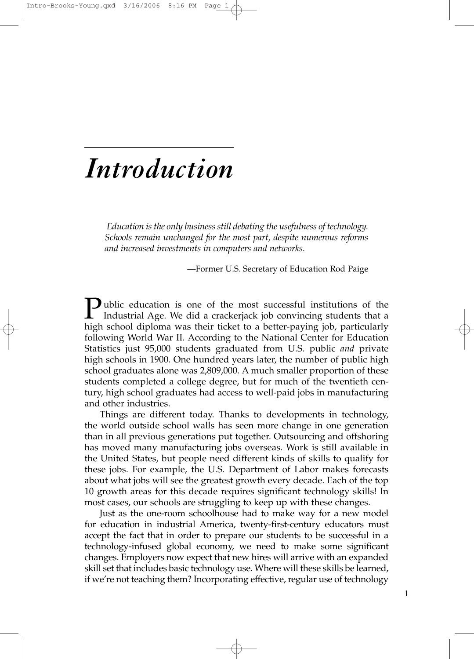## *Introduction*

*Education is the only business still debating the usefulness of technology. Schools remain unchanged for the most part, despite numerous reforms and increased investments in computers and networks.*

—Former U.S. Secretary of Education Rod Paige

Public education is one of the most successful institutions of the Industrial Age. We did a crackerjack job convincing students that a high school diploma was their ticket to a better-paying job, particularly following World War II. According to the National Center for Education Statistics just 95,000 students graduated from U.S. public *and* private high schools in 1900. One hundred years later, the number of public high school graduates alone was 2,809,000. A much smaller proportion of these students completed a college degree, but for much of the twentieth century, high school graduates had access to well-paid jobs in manufacturing and other industries.

Things are different today. Thanks to developments in technology, the world outside school walls has seen more change in one generation than in all previous generations put together. Outsourcing and offshoring has moved many manufacturing jobs overseas. Work is still available in the United States, but people need different kinds of skills to qualify for these jobs. For example, the U.S. Department of Labor makes forecasts about what jobs will see the greatest growth every decade. Each of the top 10 growth areas for this decade requires significant technology skills! In most cases, our schools are struggling to keep up with these changes.

Just as the one-room schoolhouse had to make way for a new model for education in industrial America, twenty-first-century educators must accept the fact that in order to prepare our students to be successful in a technology-infused global economy, we need to make some significant changes. Employers now expect that new hires will arrive with an expanded skill set that includes basic technology use. Where will these skills be learned, if we're not teaching them? Incorporating effective, regular use of technology

**1**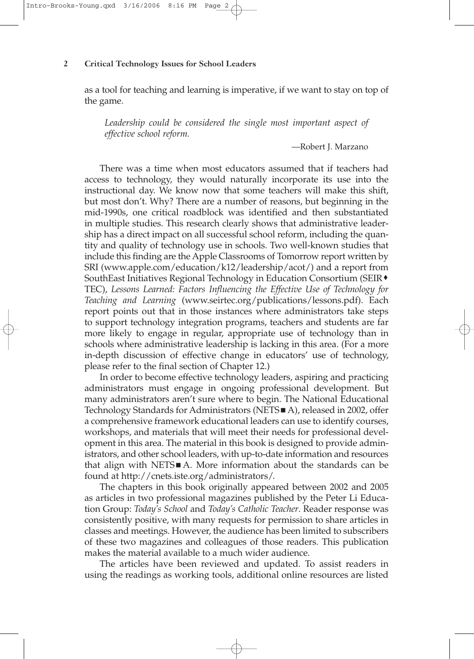## **2 Critical Technology Issues for School Leaders**

as a tool for teaching and learning is imperative, if we want to stay on top of the game.

*Leadership could be considered the single most important aspect of effective school reform.*

—Robert J. Marzano

There was a time when most educators assumed that if teachers had access to technology, they would naturally incorporate its use into the instructional day. We know now that some teachers will make this shift, but most don't. Why? There are a number of reasons, but beginning in the mid-1990s, one critical roadblock was identified and then substantiated in multiple studies. This research clearly shows that administrative leadership has a direct impact on all successful school reform, including the quantity and quality of technology use in schools. Two well-known studies that include this finding are the Apple Classrooms of Tomorrow report written by SRI (www.apple.com/education/k12/leadership/acot/) and a report from SouthEast Initiatives Regional Technology in Education Consortium (SEIR TEC), *Lessons Learned: Factors Influencing the Effective Use of Technology for Teaching and Learning* (www.seirtec.org/publications/lessons.pdf). Each report points out that in those instances where administrators take steps to support technology integration programs, teachers and students are far more likely to engage in regular, appropriate use of technology than in schools where administrative leadership is lacking in this area. (For a more in-depth discussion of effective change in educators' use of technology, please refer to the final section of Chapter 12.)

In order to become effective technology leaders, aspiring and practicing administrators must engage in ongoing professional development. But many administrators aren't sure where to begin. The National Educational Technology Standards for Administrators (NETS■A), released in 2002, offer a comprehensive framework educational leaders can use to identify courses, workshops, and materials that will meet their needs for professional development in this area. The material in this book is designed to provide administrators, and other school leaders, with up-to-date information and resources that align with  $NETS  $\blacksquare$  A. More information about the standards can be$ found at http://cnets.iste.org/administrators/.

The chapters in this book originally appeared between 2002 and 2005 as articles in two professional magazines published by the Peter Li Education Group: *Today's School* and *Today's Catholic Teacher*. Reader response was consistently positive, with many requests for permission to share articles in classes and meetings. However, the audience has been limited to subscribers of these two magazines and colleagues of those readers. This publication makes the material available to a much wider audience.

The articles have been reviewed and updated. To assist readers in using the readings as working tools, additional online resources are listed